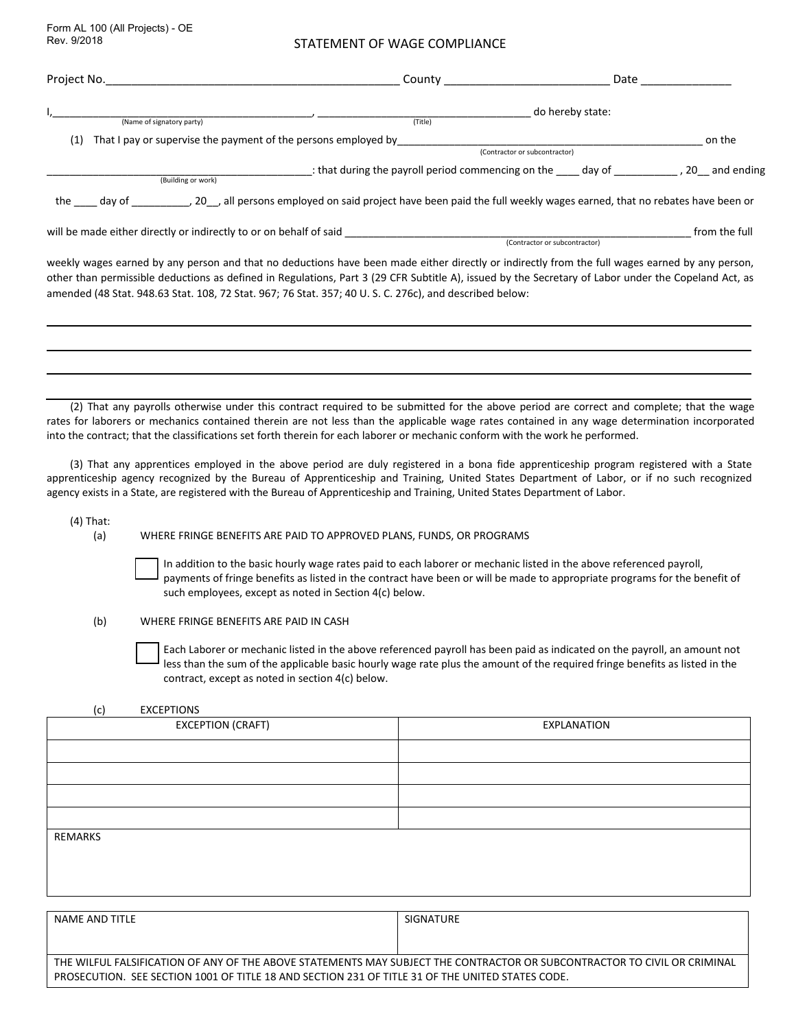Form AL 100 (All Projects) - OE Rev. 9/2018

#### STATEMENT OF WAGE COMPLIANCE

| Project No.                                                                                            | County                                                                                                                                                                                                                                                                                                  | Date            |
|--------------------------------------------------------------------------------------------------------|---------------------------------------------------------------------------------------------------------------------------------------------------------------------------------------------------------------------------------------------------------------------------------------------------------|-----------------|
| (Name of signatory party)                                                                              | do hereby state:<br>(Title)                                                                                                                                                                                                                                                                             |                 |
| That I pay or supervise the payment of the persons employed by<br>(1)                                  |                                                                                                                                                                                                                                                                                                         | on the          |
|                                                                                                        | (Contractor or subcontractor)                                                                                                                                                                                                                                                                           |                 |
|                                                                                                        | that during the payroll period commencing on the day of                                                                                                                                                                                                                                                 | , 20 and ending |
| (Building or work)                                                                                     |                                                                                                                                                                                                                                                                                                         |                 |
|                                                                                                        | the day of the day of the cap all persons employed on said project have been paid the full weekly wages earned, that no rebates have been or                                                                                                                                                            |                 |
| will be made either directly or indirectly to or on behalf of said                                     |                                                                                                                                                                                                                                                                                                         | from the full   |
|                                                                                                        | (Contractor or subcontractor)                                                                                                                                                                                                                                                                           |                 |
| amended (48 Stat. 948.63 Stat. 108, 72 Stat. 967; 76 Stat. 357; 40 U.S. C. 276c), and described below: | weekly wages earned by any person and that no deductions have been made either directly or indirectly from the full wages earned by any person,<br>other than permissible deductions as defined in Regulations, Part 3 (29 CFR Subtitle A), issued by the Secretary of Labor under the Copeland Act, as |                 |

(2) That any payrolls otherwise under this contract required to be submitted for the above period are correct and complete; that the wage rates for laborers or mechanics contained therein are not less than the applicable wage rates contained in any wage determination incorporated into the contract; that the classifications set forth therein for each laborer or mechanic conform with the work he performed.

(3) That any apprentices employed in the above period are duly registered in a bona fide apprenticeship program registered with a State apprenticeship agency recognized by the Bureau of Apprenticeship and Training, United States Department of Labor, or if no such recognized agency exists in a State, are registered with the Bureau of Apprenticeship and Training, United States Department of Labor.

(4) That:

(a) WHERE FRINGE BENEFITS ARE PAID TO APPROVED PLANS, FUNDS, OR PROGRAMS

In addition to the basic hourly wage rates paid to each laborer or mechanic listed in the above referenced payroll, payments of fringe benefits as listed in the contract have been or will be made to appropriate programs for the benefit of such employees, except as noted in Section 4(c) below.

(b) WHERE FRINGE BENEFITS ARE PAID IN CASH

Each Laborer or mechanic listed in the above referenced payroll has been paid as indicated on the payroll, an amount not less than the sum of the applicable basic hourly wage rate plus the amount of the required fringe benefits as listed in the contract, except as noted in section 4(c) below.

#### (c) EXCEPTIONS

| <b>EXCEPTION (CRAFT)</b> | EXPLANATION |
|--------------------------|-------------|
|                          |             |
|                          |             |
|                          |             |
|                          |             |
| REMARKS                  |             |
|                          |             |
|                          |             |

| NAME AND TITLE                                                                                                           | SIGNATURE |  |
|--------------------------------------------------------------------------------------------------------------------------|-----------|--|
|                                                                                                                          |           |  |
| THE WILFUL FALSIFICATION OF ANY OF THE ABOVE STATEMENTS MAY SUBJECT THE CONTRACTOR OR SUBCONTRACTOR TO CIVIL OR CRIMINAL |           |  |
| PROSECUTION. SEE SECTION 1001 OF TITLE 18 AND SECTION 231 OF TITLE 31 OF THE UNITED STATES CODE.                         |           |  |